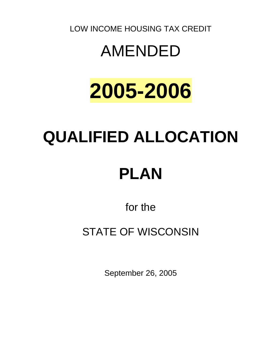LOW INCOME HOUSING TAX CREDIT

# AMENDED

# **2005-2006**

# **QUALIFIED ALLOCATION PLAN**

for the

## STATE OF WISCONSIN

September 26, 2005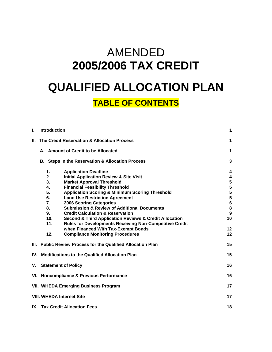## AMENDED **2005/2006 TAX CREDIT QUALIFIED ALLOCATION PLAN**

### **TABLE OF CONTENTS**

| L   | <b>Introduction</b>                                         |                                                                       | 1                |
|-----|-------------------------------------------------------------|-----------------------------------------------------------------------|------------------|
| Ш.  |                                                             | The Credit Reservation & Allocation Process                           | 1                |
|     | A. Amount of Credit to be Allocated                         |                                                                       | 1                |
|     | B. Steps in the Reservation & Allocation Process            |                                                                       | 3                |
|     | 1.                                                          | <b>Application Deadline</b>                                           | 4                |
|     | 2.                                                          | <b>Initial Application Review &amp; Site Visit</b>                    | 4                |
|     | 3.<br><b>Market Approval Threshold</b>                      |                                                                       | 5                |
|     | 4.                                                          | <b>Financial Feasibility Threshold</b>                                | 5                |
|     | 5.                                                          | <b>Application Scoring &amp; Minimum Scoring Threshold</b>            | 5                |
|     | 6.                                                          | <b>Land Use Restriction Agreement</b>                                 | 5                |
|     | 7.                                                          | <b>2006 Scoring Categories</b>                                        | $\boldsymbol{6}$ |
|     | 8.                                                          | <b>Submission &amp; Review of Additional Documents</b>                | 8                |
|     | 9.                                                          | <b>Credit Calculation &amp; Reservation</b>                           | 9                |
|     | 10.                                                         | <b>Second &amp; Third Application Reviews &amp; Credit Allocation</b> | 10               |
|     | 11.                                                         | <b>Rules for Developments Receiving Non-Competitive Credit</b>        |                  |
|     |                                                             | when Financed With Tax-Exempt Bonds                                   | 12               |
|     | 12.                                                         | <b>Compliance Monitoring Procedures</b>                               | 12               |
|     |                                                             | III. Public Review Process for the Qualified Allocation Plan          | 15               |
| IV. | <b>Modifications to the Qualified Allocation Plan</b><br>15 |                                                                       |                  |
| V.  | 16<br><b>Statement of Policy</b>                            |                                                                       |                  |
|     | VI. Noncompliance & Previous Performance<br>16              |                                                                       |                  |
|     | <b>VII. WHEDA Emerging Business Program</b><br>17           |                                                                       |                  |
|     |                                                             | <b>VIII. WHEDA Internet Site</b>                                      | 17               |
|     | IX. Tax Credit Allocation Fees<br>18                        |                                                                       |                  |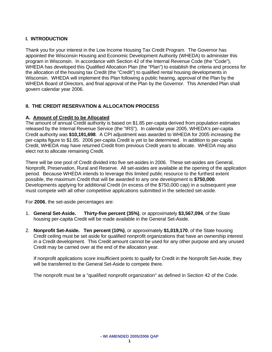### **I. INTRODUCTION**

Thank you for your interest in the Low Income Housing Tax Credit Program. The Governor has appointed the Wisconsin Housing and Economic Development Authority (WHEDA) to administer this program in Wisconsin. In accordance with Section 42 of the Internal Revenue Code (the "Code"), WHEDA has developed this Qualified Allocation Plan (the "Plan") to establish the criteria and process for the allocation of the housing tax Credit (the "Credit") to qualified rental housing developments in Wisconsin. WHEDA will implement this Plan following a public hearing, approval of the Plan by the WHEDA Board of Directors, and final approval of the Plan by the Governor. This Amended Plan shall govern calendar year 2006.

### **II. THE CREDIT RESERVATION & ALLOCATION PROCESS**

### **A. Amount of Credit to be Allocated**

The amount of annual Credit authority is based on \$1.85 per-capita derived from population estimates released by the Internal Revenue Service (the "IRS"). In calendar year 2005, WHEDA's per-capita Credit authority was **\$10,191,698**. A CPI adjustment was awarded to WHEDA for 2005 increasing the per-capita figure to \$1.85. 2006 per-capita Credit is yet to be determined. In addition to per-capita Credit, WHEDA may have returned Credit from previous Credit years to allocate. WHEDA may also elect not to allocate remaining Credit.

There will be one pool of Credit divided into five set-asides in 2006. These set-asides are General, Nonprofit, Preservation, Rural and Reserve. All set-asides are available at the opening of the application period. Because WHEDA intends to leverage this limited public resource to the furthest extent possible, the maximum Credit that will be awarded to any one development is **\$750,000**. Developments applying for additional Credit (in excess of the \$750,000 cap) in a subsequent year must compete with all other competitive applications submitted in the selected set-aside.

For **2006**, the set-aside percentages are:

- 1. **General Set-Aside. Thirty-five percent (35%)**, or approximately **\$3,567,094**, of the State housing per-capita Credit will be made available in the General Set-Aside.
- 2. **Nonprofit Set-Aside. Ten percent (10%)**, or approximately **\$1,019,170**, of the State housing Credit ceiling must be set aside for qualified nonprofit organizations that have an ownership interest in a Credit development. This Credit amount cannot be used for any other purpose and any unused Credit may be carried over at the end of the allocation year.

If nonprofit applications score insufficient points to qualify for Credit in the Nonprofit Set-Aside, they will be transferred to the General Set-Aside to compete there.

The nonprofit must be a "qualified nonprofit organization" as defined in Section 42 of the Code.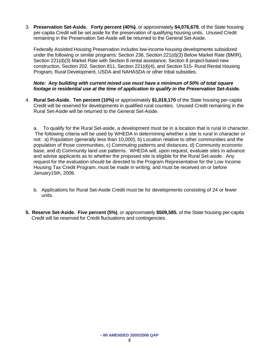3. **Preservation Set-Aside. Forty percent (40%)**, or approximately **\$4,076,679**, of the State housing per-capita Credit will be set aside for the preservation of qualifying housing units. Unused Credit remaining in the Preservation Set-Aside will be returned to the General Set-Aside.

Federally Assisted Housing Preservation includes low-income housing developments subsidized under the following or similar programs: Section 236, Section 221(d)(3) Below Market Rate (BMIR), Section 221(d)(3) Market Rate with Section 8 rental assistance, Section 8 project-based new construction, Section 202, Section 811, Section 221(d)(4), and Section 515- Rural Rental Housing Program, Rural Development, USDA and NAHASDA or other tribal subsidies.

### *Note: Any building with current mixed use must have a minimum of 50% of total square footage in residential use at the time of application to qualify in the Preservation Set-Aside.*

4. **Rural Set-Aside. Ten percent (10%)** or approximately **\$1,019,170** of the State housing per-capita Credit will be reserved for developments in qualified rural counties. Unused Credit remaining in the Rural Set-Aside will be returned to the General Set-Aside.

a. To qualify for the Rural Set-aside, a development must be in a location that is rural in character. The following criteria will be used by WHEDA in determining whether a site is rural in character or not: a) Population (generally less than 10,000), b) Location relative to other communities and the population of those communities, c) Commuting patterns and distances, d) Community economic base, and d) Community land use patterns. WHEDA will, upon request, evaluate sites in advance and advise applicants as to whether the proposed site is eligible for the Rural Set-aside. Any request for the evaluation should be directed to the Program Representative for the Low Income Housing Tax Credit Program, must be made in writing, and must be received on or before January15th, 2006.

- b. Applications for Rural Set-Aside Credit must be for developments consisting of 24 or fewer units.
- **5. Reserve Set-Aside. Five percent (5%)**, or approximately **\$509,585**, of the State housing per-capita Credit will be reserved for Credit fluctuations and contingencies.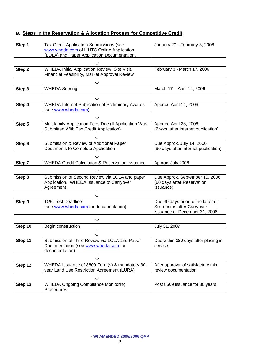### **B. Steps in the Reservation & Allocation Process for Competitive Credit**

| Step 1  | Tax Credit Application Submissions (see                    | January 20 - February 3, 2006        |
|---------|------------------------------------------------------------|--------------------------------------|
|         | www.wheda.com of LIHTC Online Application                  |                                      |
|         | (LOLA) and Paper Application Documentation.                |                                      |
|         |                                                            |                                      |
| Step 2  | WHEDA Initial Application Review, Site Visit,              | February 3 - March 17, 2006          |
|         | Financial Feasibility, Market Approval Review              |                                      |
|         |                                                            |                                      |
| Step 3  | <b>WHEDA Scoring</b>                                       | March 17 - April 14, 2006            |
|         |                                                            |                                      |
| Step 4  | <b>WHEDA Internet Publication of Preliminary Awards</b>    | Approx. April 14, 2006               |
|         | (see www.wheda.com)                                        |                                      |
|         |                                                            |                                      |
| Step 5  | Multifamily Application Fees Due (If Application Was       | Approx. April 28, 2006               |
|         | Submitted With Tax Credit Application)                     | (2 wks. after internet publication)  |
|         |                                                            |                                      |
| Step 6  | Submission & Review of Additional Paper                    | Due Approx. July 14, 2006            |
|         | Documents to Complete Application                          | (90 days after internet publication) |
|         |                                                            |                                      |
| Step 7  | <b>WHEDA Credit Calculation &amp; Reservation Issuance</b> | Approx. July 2006                    |
|         |                                                            |                                      |
| Step 8  | Submission of Second Review via LOLA and paper             | Due Approx. September 15, 2006       |
|         | Application. WHEDA Issuance of Carryover                   | (60 days after Reservation           |
|         | Agreement                                                  | issuance)                            |
|         |                                                            |                                      |
| Step 9  | 10% Test Deadline                                          | Due 30 days prior to the latter of:  |
|         | (see www.wheda.com for documentation)                      | Six months after Carryover           |
|         |                                                            | issuance or December 31, 2006        |
|         |                                                            |                                      |
| Step 10 | Begin construction                                         | July 31, 2007                        |
|         |                                                            |                                      |
| Step 11 | Submission of Third Review via LOLA and Paper              | Due within 180 days after placing in |
|         | Documentation (see www.wheda.com for                       | service                              |
|         | documentation)                                             |                                      |
|         | ⇓                                                          |                                      |
| Step 12 | WHEDA Issuance of 8609 Form(s) & mandatory 30-             | After approval of satisfactory third |
|         | year Land Use Restriction Agreement (LURA)                 | review documentation                 |
|         |                                                            |                                      |
| Step 13 | <b>WHEDA Ongoing Compliance Monitoring</b>                 | Post 8609 issuance for 30 years      |
|         | Procedures                                                 |                                      |
|         |                                                            |                                      |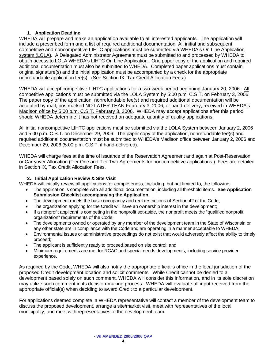### **1. Application Deadline**

WHEDA will prepare and make an application available to all interested applicants. The application will include a prescribed form and a list of required additional documentation. All initial and subsequent competitive and noncompetitive LIHTC applications must be submitted via WHEDA's On Line Application system (LOLA). A Delegated Administrator Agreement must be submitted to and processed by WHEDA to obtain access to LOLA WHEDA's LIHTC On Line Application. One paper copy of the application and required additional documentation must also be submitted to WHEDA. Completed paper applications must contain original signature(s) and the initial application must be accompanied by a check for the appropriate nonrefundable application fee(s). (See Section IX, Tax Credit Allocation Fees.)

WHEDA will accept competitive LIHTC applications for a two-week period beginning January 20, 2006. All competitive applications must be submitted via the LOLA System by 5:00 p.m. C.S.T. on February 3, 2006. The paper copy of the application, nonrefundable fee(s) and required additional documentation will be accepted by mail, postmarked NO LATER THAN February 3, 2006, or hand-delivery, received in WHEDA's Madison office by 5:00 p.m. C.S.T. February 3, 2006. WHEDA may accept applications after this period should WHEDA determine it has not received an adequate quantity of quality applications.

All initial noncompetitive LIHTC applications must be submitted via the LOLA System between January 2, 2006 and 5:00 p.m. C.S.T. on December 29, 2006. The paper copy of the application, nonrefundable fee(s) and required additional documentation must be submitted to WHEDA's Madison office between January 2, 2006 and December 29, 2006 (5:00 p.m. C.S.T. if hand-delivered).

WHEDA will charge fees at the time of issuance of the Reservation Agreement and again at Post-Reservation or Carryover Allocation (Tier One and Tier Two Agreements for noncompetitive applications.) Fees are detailed in Section IX, Tax Credit Allocation Fees.

### **2. Initial Application Review & Site Visit**

WHEDA will initially review all applications for completeness, including, but not limited to, the following:

- The application is complete with all additional documentation, including all threshold items. **See Application Submission Checklist accompanying the Application.**
- The development meets the basic occupancy and rent restrictions of Section 42 of the Code;
- The organization applying for the Credit will have an ownership interest in the development:
- If a nonprofit applicant is competing in the nonprofit set-aside, the nonprofit meets the "qualified nonprofit organization" requirements of the Code;
- The developments owned or operated by any member of the development team in the State of Wisconsin or any other state are in compliance with the Code and are operating in a manner acceptable to WHEDA;
- Environmental issues or administrative proceedings do not exist that would adversely affect the ability to timely proceed;
- The applicant is sufficiently ready to proceed based on site control; and
- Minimum requirements are met for RCAC and special needs developments, including service provider experience.

As required by the Code, WHEDA will also notify the appropriate official's office in the local jurisdiction of the proposed Credit development location and solicit comments. While Credit cannot be denied to a development based solely on such comment, WHEDA will consider this information, and in its sole discretion may utilize such comment in its decision-making process. WHEDA will evaluate all input received from the appropriate official(s) when deciding to award Credit to a particular development.

For applications deemed complete, a WHEDA representative will contact a member of the development team to discuss the proposed development, arrange a site/market visit, meet with representatives of the local municipality, and meet with representatives of the development team.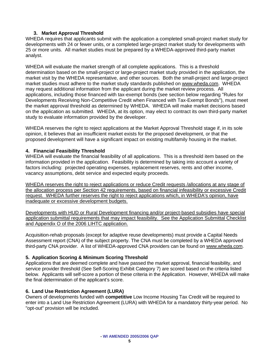### **3. Market Approval Threshold**

WHEDA requires that applicants submit with the application a completed small-project market study for developments with 24 or fewer units, or a completed large-project market study for developments with 25 or more units. All market studies must be prepared by a WHEDA-approved third-party market analyst.

WHEDA will evaluate the market strength of all complete applications. This is a threshold determination based on the small-project or large-project market study provided in the application, the market visit by the WHEDA representative, and other sources. Both the small-project and large-project market studies must adhere to the market study standards published on [www.wheda.com](http://www.wheda.com/). WHEDA may request additional information from the applicant during the market review process. All applications, including those financed with tax-exempt bonds (see section below regarding "Rules for Developments Receiving Non-Competitive Credit when Financed with Tax-Exempt Bonds"), must meet the market approval threshold as determined by WHEDA. WHEDA will make market decisions based on the application as submitted. WHEDA, at its option, may elect to contract its own third-party market study to evaluate information provided by the developer.

WHEDA reserves the right to reject applications at the Market Approval Threshold stage if, in its sole opinion, it believes that an insufficient market exists for the proposed development, or that the proposed development will have a significant impact on existing multifamily housing in the market.

### **4. Financial Feasibility Threshold**

WHEDA will evaluate the financial feasibility of all applications. This is a threshold item based on the information provided in the application. Feasibility is determined by taking into account a variety of factors including: projected operating expenses, replacement reserves, rents and other income, vacancy assumptions, debt service and expected equity proceeds.

WHEDA reserves the right to reject applications or reduce Credit requests /allocations at any stage of the allocation process per Section 42 requirements, based on financial infeasibility or excessive Credit request. WHEDA further reserves the right to reject applications which, in WHEDA's opinion, have inadequate or excessive development budgets.

Developments with HUD or Rural Development financing and/or project-based subsidies have special application submittal requirements that may impact feasibility. See the Application Submittal Checklist and Appendix O of the 2006 LIHTC application.

Acquisition-rehab proposals (except for adaptive reuse developments) must provide a Capital Needs Assessment report (CNA) of the subject property. The CNA must be completed by a WHEDA approved third-party CNA provider. A list of WHEDA-approved CNA providers can be found on [www.wheda.com](http://www.wheda.com/).

### **5. Application Scoring & Minimum Scoring Threshold**

Applications that are deemed complete and have passed the market approval, financial feasibility, and service provider threshold (See Self-Scoring Exhibit Category 7) are scored based on the criteria listed below. Applicants will self-score a portion of these criteria in the Application. However, WHEDA will make the final determination of the applicant's score.

### **6. Land Use Restriction Agreement (LURA)**

Owners of developments funded with **competitive** Low Income Housing Tax Credit will be required to enter into a Land Use Restriction Agreement (LURA) with WHEDA for a mandatory thirty-year period. No "opt-out" provision will be included.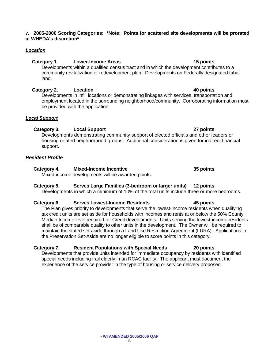### **7. 2005-2006 Scoring Categories: \*Note: Points for scattered site developments will be prorated at WHEDA's discretion\***

### *Location*

### Category 1. Lower-Income Areas **15 points** 15 points

 Developments within a qualified census tract and in which the development contributes to a community revitalization or redevelopment plan. Developments on Federally designated tribal land.

### **Category 2. Location 40 points**

 Developments in infill locations or demonstrating linkages with services, transportation and employment located in the surrounding neighborhood/community. Corroborating information must be provided with the application.

### *Local Support*

### **Category 3. Local Support 27 points**

 Developments demonstrating community support of elected officials and other leaders or housing related neighborhood groups. Additional consideration is given for indirect financial support.

### *Resident Profile*

### **Category 4. Mixed-Income Incentive 35 points**

Mixed-income developments will be awarded points.

### **Category 5. Serves Large Families (3-bedroom or larger units) 12 points**

Developments in which a minimum of 10% of the total units include three or more bedrooms.

### **Category 6. Serves Lowest-Income Residents 45 points**

The Plan gives priority to developments that serve the lowest-income residents when qualifying tax credit units are set aside for households with incomes and rents at or below the 50% County Median Income level required for Credit developments. Units serving the lowest-income residents shall be of comparable quality to other units in the development. The Owner will be required to maintain the stated set-aside through a Land Use Restriction Agreement (LURA). Applications in the Preservation Set-Aside are no longer eligible to score points in this category.

### **Category 7. Resident Populations with Special Needs 20 points**

Developments that provide units intended for immediate occupancy by residents with identified special needs including frail elderly in an RCAC facility. The applicant must document the experience of the service provider in the type of housing or service delivery proposed.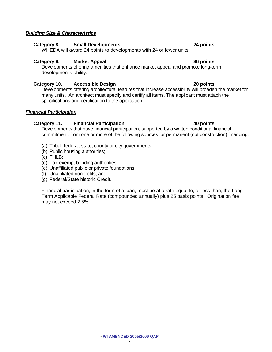### *Building Size & Characteristics*

### **Category 8. Small Developments 24 points**

WHEDA will award 24 points to developments with 24 or fewer units.

### **Category 9. Market Appeal 36 points**

Developments offering amenities that enhance market appeal and promote long-term development viability.

### **Category 10. Accessible Design 20 points**

Developments offering architectural features that increase accessibility will broaden the market for many units. An architect must specify and certify all items. The applicant must attach the specifications and certification to the application.

### *Financial Participation*

### **Category 11. Financial Participation 40 points**

Developments that have financial participation, supported by a written conditional financial commitment, from one or more of the following sources for permanent (not construction) financing:

- (a) Tribal, federal, state, county or city governments;
- (b) Public housing authorities;
- (c) FHLB;
- (d) Tax-exempt bonding authorities;
- (e) Unaffiliated public or private foundations;
- (f) Unaffiliated nonprofits; and
- (g) Federal/State historic Credit.

Financial participation, in the form of a loan, must be at a rate equal to, or less than, the Long Term Applicable Federal Rate (compounded annually) plus 25 basis points. Origination fee may not exceed 2.5%.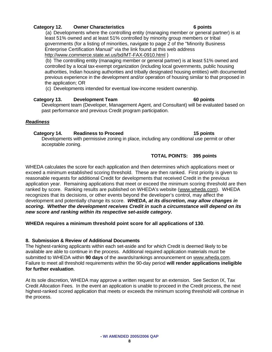### **Category 12. Owner Characteristics 6 points**

 (a) Developments where the controlling entity (managing member or general partner) is at least 51% owned and at least 51% controlled by minority group members or tribal governments (for a listing of minorities, navigate to page 2 of the "Minority Business Enterprise Certification Manual" via the link found at this web address <http://www.commerce.state.wi.us/bd/MT-FAX-0910.html>)

 (b) The controlling entity (managing member or general partner) is at least 51% owned and controlled by a local tax-exempt organization (including local governments, public housing authorities, Indian housing authorities and tribally designated housing entities) with documented previous experience in the development and/or operation of housing similar to that proposed in the application; OR

(c) Developments intended for eventual low-income resident ownership.

### **Category 13. Development Team 60 points**

Development team (Developer, Management Agent, and Consultant) will be evaluated based on past performance and previous Credit program participation.

### *Readiness*

### **Category 14. Readiness to Proceed 15 points**

Developments with permissive zoning in place, including any conditional use permit or other acceptable zoning.

### **TOTAL POINTS: 395 points**

WHEDA calculates the score for each application and then determines which applications meet or exceed a minimum established scoring threshold. These are then ranked. First priority is given to reasonable requests for additional Credit for developments that received Credit in the previous application year. Remaining applications that meet or exceed the minimum scoring threshold are then ranked by score. Ranking results are published on WHEDA's website (www.wheda.com). WHEDA recognizes that its decisions, or other events beyond the developer's control, may affect the development and potentially change its score. *WHEDA, at its discretion, may allow changes in scoring. Whether the development receives Credit in such a circumstance will depend on its new score and ranking within its respective set-aside category.* 

**WHEDA requires a minimum threshold point score for all applications of 130**.

### **8. Submission & Review of Additional Documents**

The highest-ranking applicants within each set-aside and for which Credit is deemed likely to be available are able to continue in the process. Additional required application materials must be submitted to WHEDA within **90 days** of the awards/rankings announcement on www.wheda.com. Failure to meet all threshold requirements within the 90-day period **will render applications ineligible for further evaluation**.

At its sole discretion, WHEDA may approve a written request for an extension. See Section IX, Tax Credit Allocation Fees. In the event an application is unable to proceed in the Credit process, the next highest-ranked scored application that meets or exceeds the minimum scoring threshold will continue in the process.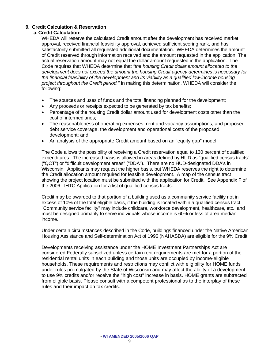### **9. Credit Calculation & Reservation**

### **a. Credit Calculation:**

WHEDA will reserve the calculated Credit amount after the development has received market approval, received financial feasibility approval, achieved sufficient scoring rank, and has satisfactorily submitted all requested additional documentation. WHEDA determines the amount of Credit reserved through information received and the amount requested in the application. The actual reservation amount may not equal the dollar amount requested in the application. The Code requires that WHEDA determine that *"the housing Credit dollar amount allocated to the development does not exceed the amount the housing Credit agency determines is necessary for the financial feasibility of the development and its viability as a qualified low-income housing project throughout the Credit period."* In making this determination, WHEDA will consider the following:

- The sources and uses of funds and the total financing planned for the development;
- Any proceeds or receipts expected to be generated by tax benefits;
- Percentage of the housing Credit dollar amount used for development costs other than the cost of intermediaries;
- The reasonableness of operating expenses, rent and vacancy assumptions, and proposed debt service coverage, the development and operational costs of the proposed development; and
- An analysis of the appropriate Credit amount based on an "equity gap" model.

The Code allows the possibility of receiving a Credit reservation equal to 130 percent of qualified expenditures. The increased basis is allowed in areas defined by HUD as "qualified census tracts" ("QCT") or "difficult development areas" ("DDA"). There are no HUD-designated DDA's in Wisconsin. Applicants may request the higher basis, but WHEDA reserves the right to determine the Credit allocation amount required for feasible development. A map of the census tract showing the project location must be submitted with the application for Credit. See Appendix F of the 2006 LIHTC Application for a list of qualified census tracts.

Credit may be awarded to that portion of a building used as a community service facility not in excess of 10% of the total eligible basis, if the building is located within a qualified census tract. "Community service facility" may include childcare, workforce development, healthcare, etc., and must be designed primarily to serve individuals whose income is 60% or less of area median income.

Under certain circumstances described in the Code, buildings financed under the Native American Housing Assistance and Self-determination Act of 1996 (NAHASDA) are eligible for the 9% Credit.

Developments receiving assistance under the HOME Investment Partnerships Act are considered Federally subsidized unless certain rent requirements are met for a portion of the residential rental units in each building and those units are occupied by income-eligible households. These requirements and restrictions may conflict with eligibility for HOME funds under rules promulgated by the State of Wisconsin and may affect the ability of a development to use 9% credits and/or receive the "high cost" increase in basis. HOME grants are subtracted from eligible basis. Please consult with a competent professional as to the interplay of these rules and their impact on tax credits.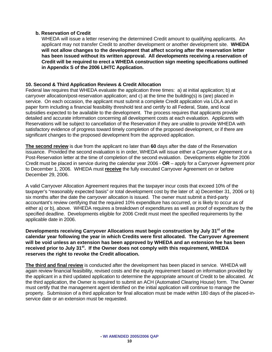### **b. Reservation of Credit**

WHEDA will issue a letter reserving the determined Credit amount to qualifying applicants. An applicant may not transfer Credit to another development or another development site. **WHEDA will not allow changes to the development that affect scoring after the reservation letter has been issued without its written approval. All developments receiving a reservation of Credit will be required to erect a WHEDA construction sign meeting specifications outlined in Appendix S of the 2006 LIHTC Application.** 

### **10. Second & Third Application Reviews & Credit Allocation**

Federal law requires that WHEDA evaluate the application three times: a) at initial application; b) at carryover allocation/post-reservation application; and c) at the time the building(s) is (are) placed in service. On each occasion, the applicant must submit a complete Credit application via LOLA and in paper form including a financial feasibility threshold test and certify to all Federal, State, and local subsidies expected to be available to the development. The process requires that applicants provide detailed and accurate information concerning all development costs at each evaluation. Applicants with Reservations will be subject to cancellation of the Reservation if they are unable to provide WHEDA with satisfactory evidence of progress toward timely completion of the proposed development, or if there are significant changes to the proposed development from the approved application.

**The second review** is due from the applicant no later than **60** days after the date of the Reservation issuance. Provided the second evaluation is in order, WHEDA will issue either a Carryover Agreement or a Post-Reservation letter at the time of completion of the second evaluation. Developments eligible for 2006 Credit must be placed in service during the calendar year 2006 - **OR** – apply for a Carryover Agreement prior to December 1, 2006. WHEDA must **receive** the fully executed Carryover Agreement on or before December 29, 2006.

A valid Carryover Allocation Agreement requires that the taxpayer incur costs that exceed 10% of the taxpayer's "reasonably expected basis" or total development cost by the later of: a) December 31, 2006 or b) six months after the date the carryover allocation is issued. The owner must submit a third-party accountant's review certifying that the required 10% expenditure has occurred, or is likely to occur as of either a) or b), above. WHEDA requires a breakdown of expenditures as well as proof of expenditure by the specified deadline. Developments eligible for 2006 Credit must meet the specified requirements by the applicable date in 2006.

**Developments receiving Carryover Allocations must begin construction by July 31st of the calendar year following the year in which Credits were first allocated. The Carryover Agreement will be void unless an extension has been approved by WHEDA and an extension fee has been received prior to July 31st. If the Owner does not comply with this requirement, WHEDA reserves the right to revoke the Credit allocation.**

**The third and final review** is conducted after the development has been placed in service. WHEDA will again review financial feasibility, revised costs and the equity requirement based on information provided by the applicant in a third updated application to determine the appropriate amount of Credit to be allocated. At the third application, the Owner is required to submit an ACH (Automated Clearing House) form. The Owner must certify that the management agent identified on the initial application will continue to manage the property. Submission of a third application for final allocation must be made within 180 days of the placed-inservice date or an extension must be requested.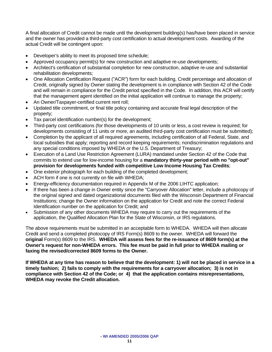A final allocation of Credit cannot be made until the development building(s) has/have been placed in service and the owner has provided a third-party cost certification to actual development costs. Awarding of the actual Credit will be contingent upon:

- Developer's ability to meet its proposed time schedule;
- Approved occupancy permit(s) for new construction and adaptive re-use developments;
- Architect's certification of substantial completion for new construction, adaptive re-use and substantial rehabilitation developments;
- One Allocation Certification Request ("ACR") form for each building, Credit percentage and allocation of Credit, originally signed by Owner stating the development is in compliance with Section 42 of the Code and will remain in compliance for the Credit period specified in the Code. In addition, this ACR will certify that the management agent identified on the initial application will continue to manage the property;
- An Owner/Taxpayer-certified current rent roll;
- Updated title commitment, or final title policy containing and accurate final legal description of the property;
- Tax parcel identification number(s) for the development;
- Third-party cost certifications (for those developments of 10 units or less, a cost review is required; for developments consisting of 11 units or more, an audited third-party cost certification must be submitted);
- Completion by the applicant of all required agreements, including certification of all Federal, State, and local subsidies that apply; reporting and record keeping requirements; nondiscrimination regulations and any special conditions imposed by WHEDA or the U.S. Department of Treasury;
- Execution of a Land Use Restriction Agreement (LURA) mandated under Section 42 of the Code that commits to extend use for low-income housing for a **mandatory thirty-year period with no "opt-out" provision for developments funded with competitive Low Income Housing Tax Credits**;
- One exterior photograph for each building of the completed development;
- ACH form if one is not currently on file with WHEDA;
- Energy-efficiency documentation required in Appendix M of the 2006 LIHTC application;
- If there has been a change in Owner entity since the "Carryover Allocation" letter, include a photocopy of the original signed and dated organizational documents filed with the Wisconsin Department of Financial Institutions; change the Owner information on the application for Credit and note the correct Federal Identification number on the application for Credit; and
- Submission of any other documents WHEDA may require to carry out the requirements of the application, the Qualified Allocation Plan for the State of Wisconsin, or IRS regulations.

The above requirements must be submitted in an acceptable form to WHEDA. WHEDA will then allocate Credit and send a completed photocopy of IRS Form(s) 8609 to the owner. WHEDA will forward the **original** Form(s) 8609 to the IRS. **WHEDA will assess fees for the re-issuance of 8609 form(s) at the Owner's request for non-WHEDA errors. This fee must be paid in full prior to WHEDA mailing or faxing the revised/corrected 8609 forms to the Owner.** 

**If WHEDA at any time has reason to believe that the development: 1) will not be placed in service in a timely fashion; 2) fails to comply with the requirements for a carryover allocation; 3) is not in compliance with Section 42 of the Code; or 4) that the application contains misrepresentations, WHEDA may revoke the Credit allocation.**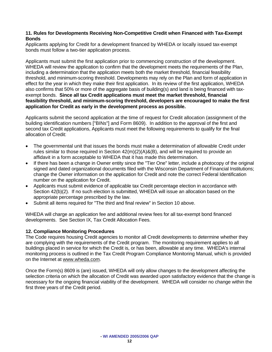### **11. Rules for Developments Receiving Non-Competitive Credit when Financed with Tax-Exempt Bonds**

Applicants applying for Credit for a development financed by WHEDA or locally issued tax-exempt bonds must follow a two-tier application process.

Applicants must submit the first application prior to commencing construction of the development. WHEDA will review the application to confirm that the development meets the requirements of the Plan, including a determination that the application meets both the market threshold, financial feasibility threshold, and minimum-scoring threshold. Developments may rely on the Plan and form of application in effect for the year in which they make their first application. In its review of the first application, WHEDA also confirms that 50% or more of the aggregate basis of building(s) and land is being financed with taxexempt bonds. **Since all tax Credit applications must meet the market threshold, financial feasibility threshold, and minimum-scoring threshold, developers are encouraged to make the first application for Credit as early in the development process as possible.** 

Applicants submit the second application at the time of request for Credit allocation (assignment of the building identification numbers ["BINs"] and Form 8609). In addition to the approval of the first and second tax Credit applications, Applicants must meet the following requirements to qualify for the final allocation of Credit:

- The governmental unit that issues the bonds must make a determination of allowable Credit under rules similar to those required in Section 42(m)(2)(A)&(B), and will be required to provide an affidavit in a form acceptable to WHEDA that it has made this determination.
- If there has been a change in Owner entity since the "Tier One" letter, include a photocopy of the original signed and dated organizational documents filed with the Wisconsin Department of Financial Institutions; change the Owner information on the application for Credit and note the correct Federal Identification number on the application for Credit.
- Applicants must submit evidence of applicable tax Credit percentage election in accordance with Section 42(b)(2). If no such election is submitted, WHEDA will issue an allocation based on the appropriate percentage prescribed by the law.
- Submit all items required for "The third and final review" in Section 10 above.

WHEDA will charge an application fee and additional review fees for all tax-exempt bond financed developments. See Section IX, Tax Credit Allocation Fees.

### **12. Compliance Monitoring Procedures**

The Code requires housing Credit agencies to monitor all Credit developments to determine whether they are complying with the requirements of the Credit program. The monitoring requirement applies to all buildings placed in service for which the Credit is, or has been, allowable at any time. WHEDA's internal monitoring process is outlined in the Tax Credit Program Compliance Monitoring Manual, which is provided on the Internet at [www.wheda.com.](http://www.wheda.com/)

Once the Form(s) 8609 is (are) issued, WHEDA will only allow changes to the development affecting the selection criteria on which the allocation of Credit was awarded upon satisfactory evidence that the change is necessary for the ongoing financial viability of the development. WHEDA will consider no change within the first three years of the Credit period.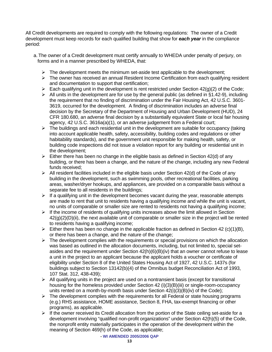All Credit developments are required to comply with the following regulations: The owner of a Credit development must keep records for each qualified building that show for *each year* in the compliance period:

- a. The owner of a Credit development must certify annually to WHEDA under penalty of perjury, on forms and in a manner prescribed by WHEDA, that:
	- $\triangleright$  The development meets the minimum set-aside test applicable to the development;
	- $\triangleright$  The owner has received an annual Resident Income Certification from each qualifying resident and documentation to support that certification;
	- $\triangleright$  Each qualifying unit in the development is rent restricted under Section 42(g)(2) of the Code;
	- $\triangleright$  All units in the development are for use by the general public (as defined in §1.42-9), including the requirement that no finding of discrimination under the Fair Housing Act, 42 U.S.C. 3601- 3619, occurred for the development. A finding of discrimination includes an adverse final decision by the Secretary of the Department of Housing and Urban Development (HUD), 24 CFR 180.680, an adverse final decision by a substantially equivalent State or local fair housing agency, 42 U.S.C. 3616a(a)(1), or an adverse judgement from a Federal court;
	- $\triangleright$  The buildings and each residential unit in the development are suitable for occupancy (taking into account applicable health, safety, accessibility, building codes and regulations or other habitability standards), and the government unit responsible for making health, safety, or building code inspections did not issue a violation report for any building or residential unit in the development;
	- $\triangleright$  Either there has been no change in the eligible basis as defined in Section 42(d) of any building, or there has been a change, and the nature of the change, including any new Federal funds received;
	- $\triangleright$  All resident facilities included in the eligible basis under Section 42(d) of the Code of any building in the development, such as swimming pools, other recreational facilities, parking areas, washer/dryer hookups, and appliances, are provided on a comparable basis without a separate fee to all residents in the buildings;
	- $\triangleright$  If a qualifying unit in the development becomes vacant during the year, reasonable attempts are made to rent that unit to residents having a qualifying income and while the unit is vacant, no units of comparable or smaller size are rented to residents not having a qualifying income;
	- $\triangleright$  If the income of residents of qualifying units increases above the limit allowed in Section  $42<sub>(g)</sub>(2)<sub>(i)</sub>$ (ii), the next available unit of comparable or smaller size in the project will be rented to residents having a qualifying income;
	- $\triangleright$  Either there has been no change in the applicable fraction as defined in Section 42 (c)(1)(B), or there has been a change, and the nature of the change;
	- $\triangleright$  The development complies with the requirements or special provisions on which the allocation was based as outlined in the allocation documents, including, but not limited to, special setasides and the requirement under Section  $42(h)(6)(B)(iv)$  that an owner cannot refuse to lease a unit in the project to an applicant because the applicant holds a voucher or certificate of eligibility under Section 8 of the United States Housing Act of 1927, 42 U.S.C. 1437s (for buildings subject to Section 13142(b)(4) of the Omnibus budget Reconciliation Act of 1993, 107 Stat. 312, 438-439);
	- $\triangleright$  All qualifying units in the project are used on a nontransient basis (except for transitional housing for the homeless provided under Section 42 (i)(3)(B)(iii) or single-room-occupancy units rented on a month-by-month basis under Section 42(i)(3)(B)(iv) of the Code);
	- $\triangleright$  The development complies with the requirements for all Federal or state housing programs (e.g.) RHS assistance, HOME assistance, Section 8, FHA, tax-exempt financing or other programs), as applicable.
	- $\triangleright$  If the owner received its Credit allocation from the portion of the State ceiling set-aside for a development involving "qualified non-profit organizations" under Section 42(h)(5) of the Code, the nonprofit entity materially participates in the operation of the development within the meaning of Section 469(h) of the Code, as applicable;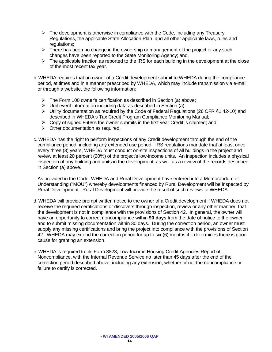- $\triangleright$  The development is otherwise in compliance with the Code, including any Treasury Regulations, the applicable State Allocation Plan, and all other applicable laws, rules and regulations;
- $\triangleright$  There has been no change in the ownership or management of the project or any such changes have been reported to the State Monitoring Agency; and,
- $\triangleright$  The applicable fraction as reported to the IRS for each building in the development at the close of the most recent tax year.
- b. WHEDA requires that an owner of a Credit development submit to WHEDA during the compliance period, at times and in a manner prescribed by WHEDA, which may include transmission via e-mail or through a website, the following information:
	- $\triangleright$  The Form 100 owner's certification as described in Section (a) above;
	- $\triangleright$  Unit event information including data as described in Section (a);
	- ¾ Utility documentation as required by the Code of Federal Regulations (26 CFR §1.42-10) and described in WHEDA's Tax Credit Program Compliance Monitoring Manual;
	- $\triangleright$  Copy of signed 8609's the owner submits in the first year Credit is claimed; and
	- $\triangleright$  Other documentation as required.
- c. WHEDA has the right to perform inspections of any Credit development through the end of the compliance period, including any extended use period. IRS regulations mandate that at least once every three (3) years, WHEDA must conduct on-site inspections of all buildings in the project and review at least 20 percent (20%) of the project's low-income units. An inspection includes a physical inspection of any building and units in the development, as well as a review of the records described in Section (a) above.

 As provided in the Code, WHEDA and Rural Development have entered into a Memorandum of Understanding ("MOU") whereby developments financed by Rural Development will be inspected by Rural Development. Rural Development will provide the result of such reviews to WHEDA.

- d. WHEDA will provide prompt written notice to the owner of a Credit development if WHEDA does not receive the required certifications or discovers through inspection, review or any other manner, that the development is not in compliance with the provisions of Section 42. In general, the owner will have an opportunity to correct noncompliance within **90 days** from the date of notice to the owner and to submit missing documentation within 30 days. During the correction period, an owner must supply any missing certifications and bring the project into compliance with the provisions of Section 42. WHEDA may extend the correction period for up to six (6) months if it determines there is good cause for granting an extension.
- e. WHEDA is required to file Form 8823, Low-Income Housing Credit Agencies Report of Noncompliance, with the Internal Revenue Service no later than 45 days after the end of the correction period described above, including any extension, whether or not the noncompliance or failure to certify is corrected.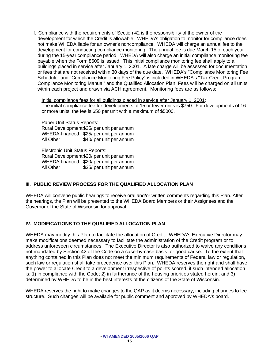f. Compliance with the requirements of Section 42 is the responsibility of the owner of the development for which the Credit is allowable. WHEDA's obligation to monitor for compliance does not make WHEDA liable for an owner's noncompliance. WHEDA will charge an annual fee to the development for conducting compliance monitoring. The annual fee is due March 15 of each year during the 15-year compliance period. WHEDA will also charge an initial compliance monitoring fee payable when the Form 8609 is issued. This initial compliance monitoring fee shall apply to all buildings placed in service after January 1, 2001. A late charge will be assessed for documentation or fees that are not received within 30 days of the due date. WHEDA's "Compliance Monitoring Fee Schedule" and "Compliance Monitoring Fee Policy" is included in WHEDA's "Tax Credit Program Compliance Monitoring Manual" and the Qualified Allocation Plan. Fees will be charged on all units within each project and drawn via ACH agreement. Monitoring fees are as follows:

### Initial compliance fees for all buildings placed in service after January 1, 2001:

The initial compliance fee for developments of 15 or fewer units is \$750. For developments of 16 or more units, the fee is \$50 per unit with a maximum of \$5000.

### Paper Unit Status Reports:

Rural Development \$25/ per unit per annum WHEDA-financed \$25/ per unit per annum All Other \$40/ per unit per annum

Electronic Unit Status Reports:

Rural Development \$20/ per unit per annum WHEDA-financed \$20/ per unit per annum All Other \$35/ per unit per annum

### **III. PUBLIC REVIEW PROCESS FOR THE QUALIFIED ALLOCATION PLAN**

WHEDA will convene public hearings to receive oral and/or written comments regarding this Plan. After the hearings, the Plan will be presented to the WHEDA Board Members or their Assignees and the Governor of the State of Wisconsin for approval.

### **IV. MODIFICATIONS TO THE QUALIFIED ALLOCATION PLAN**

WHEDA may modify this Plan to facilitate the allocation of Credit. WHEDA's Executive Director may make modifications deemed necessary to facilitate the administration of the Credit program or to address unforeseen circumstances. The Executive Director is also authorized to waive any conditions not mandated by Section 42 of the Code on a case-by-case basis for good cause. To the extent that anything contained in this Plan does not meet the minimum requirements of Federal law or regulation, such law or regulation shall take precedence over this Plan. WHEDA reserves the right and shall have the power to allocate Credit to a development irrespective of points scored, if such intended allocation is: 1) in compliance with the Code; 2) in furtherance of the housing priorities stated herein; and 3) determined by WHEDA to be in the best interests of the citizens of the State of Wisconsin.

WHEDA reserves the right to make changes to the QAP as it deems necessary, including changes to fee structure. Such changes will be available for public comment and approved by WHEDA's board.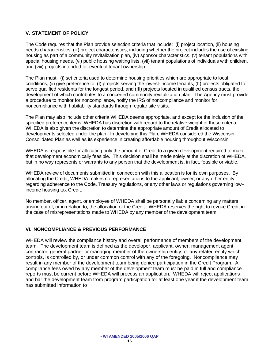### **V. STATEMENT OF POLICY**

The Code requires that the Plan provide selection criteria that include: (i) project location, (ii) housing needs characteristics, (iii) project characteristics, including whether the project includes the use of existing housing as part of a community revitalization plan, (iv) sponsor characteristics, (v) tenant populations with special housing needs, (vi) public housing waiting lists, (vii) tenant populations of individuals with children, and (viii) projects intended for eventual tenant ownership.

The Plan must: (i) set criteria used to determine housing priorities which are appropriate to local conditions, (ii) give preference to: (I) projects serving the lowest-income tenants, (II) projects obligated to serve qualified residents for the longest period, and (III) projects located in qualified census tracts, the development of which contributes to a concerted community revitalization plan. The Agency must provide a procedure to monitor for noncompliance, notify the IRS of noncompliance and monitor for noncompliance with habitability standards through regular site visits.

The Plan may also include other criteria WHEDA deems appropriate, and except for the inclusion of the specified preference items, WHEDA has discretion with regard to the relative weight of these criteria. WHEDA is also given the discretion to determine the appropriate amount of Credit allocated to developments selected under the plan. In developing this Plan, WHEDA considered the Wisconsin Consolidated Plan as well as its experience in creating affordable housing throughout Wisconsin.

WHEDA is responsible for allocating only the amount of Credit to a given development required to make that development economically feasible. This decision shall be made solely at the discretion of WHEDA, but in no way represents or warrants to any person that the development is, in fact, feasible or viable.

WHEDA review of documents submitted in connection with this allocation is for its own purposes. By allocating the Credit, WHEDA makes no representations to the applicant, owner, or any other entity regarding adherence to the Code, Treasury regulations, or any other laws or regulations governing low– income housing tax Credit.

No member, officer, agent, or employee of WHEDA shall be personally liable concerning any matters arising out of, or in relation to, the allocation of the Credit. WHEDA reserves the right to revoke Credit in the case of misrepresentations made to WHEDA by any member of the development team.

### **VI. NONCOMPLIANCE & PREVIOUS PERFORMANCE**

WHEDA will review the compliance history and overall performance of members of the development team. The development team is defined as the developer, applicant, owner, management agent, contractor, general partner or managing member of the ownership entity, or any related entity which controls, is controlled by, or under common control with any of the foregoing. Noncompliance may result in any member of the development team being denied participation in the Credit Program. All compliance fees owed by any member of the development team must be paid in full and compliance reports must be current before WHEDA will process an application. WHEDA will reject applications and bar the development team from program participation for at least one year if the development team has submitted information to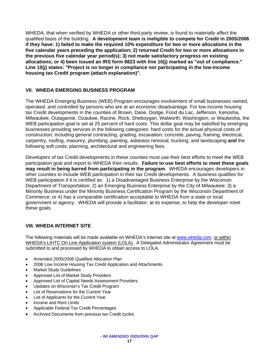WHEDA, that when verified by WHEDA or other third-party review, is found to materially affect the qualified basis of the building. **A development team is ineligible to compete for Credit in 2005/2006 if they have: 1) failed to make the required 10% expenditure for two or more allocations in the five calendar years preceding the application; 2) returned Credit for two or more allocations in the previous five calendar year period(s); 3) not made satisfactory progress on existing allocations; or 4) been issued an IRS form 8823 with line 10(j) marked as "out of compliance." Line 10(j) states: "Project is no longer in compliance nor participating in the low-income housing tax Credit program (attach explanation)".** 

### **VII. WHEDA EMERGING BUSINESS PROGRAM**

The WHEDA Emerging Business (WEB) Program encourages involvement of small businesses owned, operated, and controlled by persons who are at an economic disadvantage. For low income housing tax Credit developments in the counties of Brown, Dane, Dodge, Fond du Lac, Jefferson, Kenosha, Milwaukee, Outagamie, Ozaukee, Racine, Rock, Sheboygan, Walworth, Washington, or Waukesha, the WEB participation goal is set at 25 percent of hard costs. This dollar goal may be satisfied by emerging businesses providing services in the following categories: hard costs for the actual physical costs of construction, including general contracting, grading, excavation, concrete, paving, framing, electrical, carpentry, roofing, masonry, plumbing, painting, asbestos removal, trucking, and landscaping *and* the following soft costs: planning, architectural and engineering fees.

Developers of tax Credit developments in these counties must use their best efforts to meet the WEB participation goal and report to WHEDA their results. **Failure to use best efforts to meet these goals may result in being barred from participating in the program**. WHEDA encourages developers in other counties to include WEB participation in their tax Credit developments. A business qualifies for WEB participation if it is certified as: 1) a Disadvantaged Business Enterprise by the Wisconsin Department of Transportation; 2) an Emerging Business Enterprise by the City of Milwaukee; 3) a Minority Business under the Minority Business Certification Program by the Wisconsin Department of Commerce; or 4) has a comparable certification acceptable to WHEDA from a state or local government or agency. WHEDA will provide a facilitator, at its expense, to help the developer meet these goals.

### **VIII. WHEDA INTERNET SITE**

The following materials will be made available on WHEDA's Internet site at [www.wheda.com,](http://www.wheda.com/) or within WHEDA's LIHTC On Line Application system (LOLA). A Delegated Administrator Agreement must be submitted to and processed by WHEDA to obtain access to LOLA.

- Amended 2005/2006 Qualified Allocation Plan
- 2006 Low Income Housing Tax Credit Application and Attachments
- Market Study Guidelines
- Approved List of Market Study Providers
- Approved List of Capital Needs Assessment Providers
- Updates on Wisconsin's Tax Credit Program
- List of Reservations for the Current Year
- List of Applicants for the Current Year
- Income and Rent Limits
- Applicable Federal Tax Credit Percentages
- Archived Documents from previous tax Credit cycles